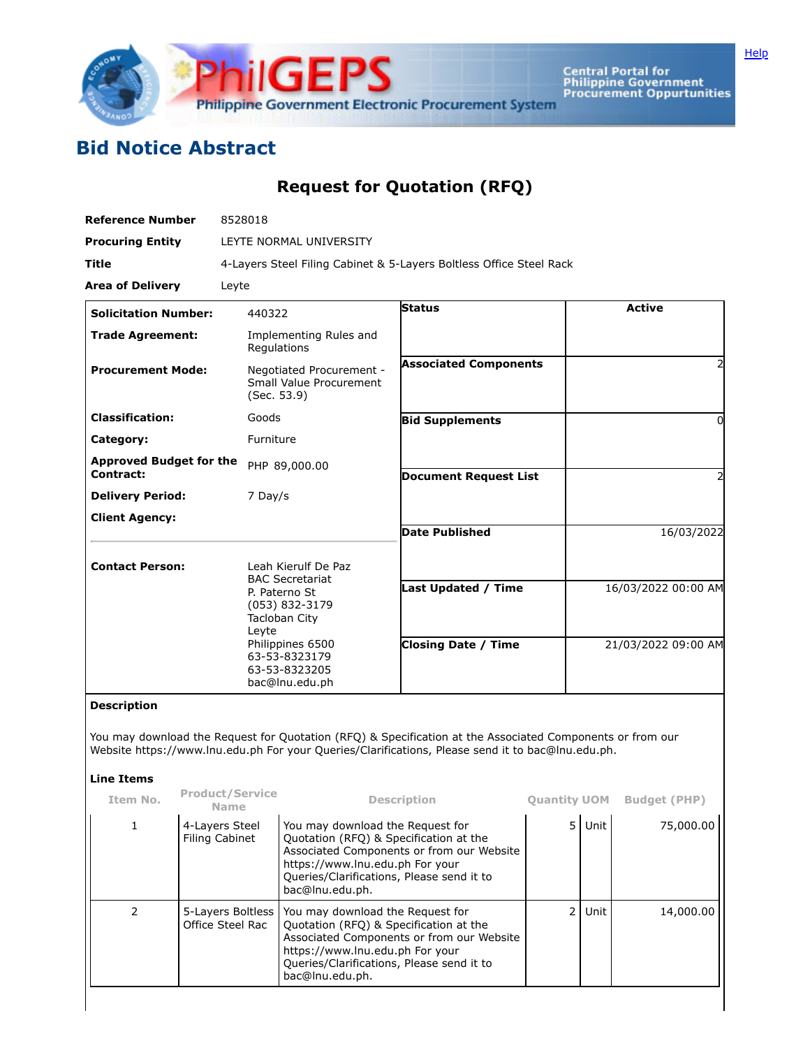

**Central Portal for<br>Philippine Government<br>Procurement Oppurtunities** 

## **Bid Notice Abstract**

## **Request for Quotation (RFQ)**

| <b>Reference Number</b>                     | 8528018                                                                                                                                         |                                                          |                                            |  |  |  |  |
|---------------------------------------------|-------------------------------------------------------------------------------------------------------------------------------------------------|----------------------------------------------------------|--------------------------------------------|--|--|--|--|
| <b>Procuring Entity</b>                     | LEYTE NORMAL UNIVERSITY                                                                                                                         |                                                          |                                            |  |  |  |  |
| <b>Title</b>                                | 4-Layers Steel Filing Cabinet & 5-Layers Boltless Office Steel Rack                                                                             |                                                          |                                            |  |  |  |  |
| <b>Area of Delivery</b>                     | Leyte                                                                                                                                           |                                                          |                                            |  |  |  |  |
| <b>Solicitation Number:</b>                 | 440322                                                                                                                                          | <b>Status</b>                                            | <b>Active</b>                              |  |  |  |  |
| <b>Trade Agreement:</b>                     | Implementing Rules and<br>Regulations                                                                                                           |                                                          |                                            |  |  |  |  |
| <b>Procurement Mode:</b>                    | Negotiated Procurement -<br>Small Value Procurement<br>(Sec. 53.9)                                                                              | <b>Associated Components</b>                             | 2                                          |  |  |  |  |
| <b>Classification:</b>                      | Goods                                                                                                                                           | <b>Bid Supplements</b>                                   | 0                                          |  |  |  |  |
| Category:                                   | Furniture                                                                                                                                       |                                                          |                                            |  |  |  |  |
| <b>Approved Budget for the</b><br>Contract: | PHP 89,000.00                                                                                                                                   | <b>Document Request List</b>                             | 2                                          |  |  |  |  |
| <b>Delivery Period:</b>                     | 7 Day/s                                                                                                                                         |                                                          |                                            |  |  |  |  |
| <b>Client Agency:</b>                       |                                                                                                                                                 |                                                          |                                            |  |  |  |  |
|                                             |                                                                                                                                                 | Date Published                                           | 16/03/2022                                 |  |  |  |  |
| <b>Contact Person:</b>                      | Leah Kierulf De Paz<br><b>BAC Secretariat</b><br>P. Paterno St<br>(053) 832-3179<br>Tacloban City<br>Leyte<br>Philippines 6500<br>63-53-8323179 | <b>Last Updated / Time</b><br><b>Closing Date / Time</b> | 16/03/2022 00:00 AM<br>21/03/2022 09:00 AM |  |  |  |  |
|                                             | 63-53-8323205<br>bac@lnu.edu.ph                                                                                                                 |                                                          |                                            |  |  |  |  |

## **Description**

You may download the Request for Quotation (RFQ) & Specification at the Associated Components or from our Website https://www.lnu.edu.ph For your Queries/Clarifications, Please send it to bac@lnu.edu.ph.

## **Line Items**

| Item No. | <b>Product/Service</b><br><b>Name</b> | <b>Description</b>                                                                                                                                                                                                         | <b>Quantity UOM</b> |      | <b>Budget (PHP)</b> |
|----------|---------------------------------------|----------------------------------------------------------------------------------------------------------------------------------------------------------------------------------------------------------------------------|---------------------|------|---------------------|
|          | 4-Layers Steel<br>Filing Cabinet      | You may download the Request for<br>Quotation (RFQ) & Specification at the<br>Associated Components or from our Website<br>https://www.lnu.edu.ph For your<br>Queries/Clarifications, Please send it to<br>bac@lnu.edu.ph. | 51                  | Unit | 75,000.00           |
|          | 5-Layers Boltless<br>Office Steel Rac | You may download the Request for<br>Quotation (RFQ) & Specification at the<br>Associated Components or from our Website<br>https://www.lnu.edu.ph For your<br>Queries/Clarifications, Please send it to<br>bac@lnu.edu.ph. | 2 <sub>1</sub>      | Unit | 14,000.00           |